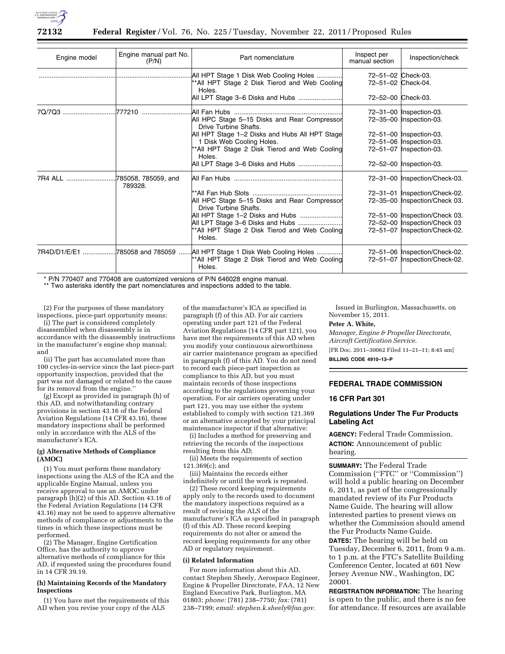

| Engine model | Engine manual part No.<br>(P/N) | Part nomenclature                                                                                                                 | Inspect per<br>manual section            | Inspection/check                                                                                  |
|--------------|---------------------------------|-----------------------------------------------------------------------------------------------------------------------------------|------------------------------------------|---------------------------------------------------------------------------------------------------|
|              |                                 | .All HPT Stage 1 Disk Web Cooling Holes<br>**All HPT Stage 2 Disk Tierod and Web Cooling<br>Holes.                                | 72-51-02 Check-03.<br>72-51-02 Check-04. |                                                                                                   |
|              |                                 | All LPT Stage 3–6 Disks and Hubs                                                                                                  | 72-52-00 Check-03.                       |                                                                                                   |
|              |                                 | All HPC Stage 5-15 Disks and Rear Compressor<br>Drive Turbine Shafts.                                                             |                                          | 72-31-00   Inspection-03.<br>72-35-00   Inspection-03.                                            |
|              |                                 | All HPT Stage 1-2 Disks and Hubs All HPT Stage<br>1 Disk Web Cooling Holes.<br>**All HPT Stage 2 Disk Tierod and Web Cooling      |                                          | 72-51-00   Inspection-03.<br>72-51-06   Inspection-03.<br>72-51-07   Inspection-03.               |
|              |                                 | Holes.<br>All LPT Stage 3-6 Disks and Hubs                                                                                        |                                          | 72-52-00   Inspection-03.                                                                         |
|              | 789328.                         |                                                                                                                                   |                                          | 72-31-00  Inspection/Check-03.                                                                    |
|              |                                 | All HPC Stage 5-15 Disks and Rear Compressor<br>Drive Turbine Shafts.                                                             |                                          | 72-31-01  Inspection/Check-02.<br>72-35-00  Inspection/Check 03.                                  |
|              |                                 | All HPT Stage 1-2 Disks and Hubs<br>All LPT Stage 3-6 Disks and Hubs<br>**All HPT Stage 2 Disk Tierod and Web Cooling<br>Holes.   |                                          | 72-51-00  Inspection/Check 03.<br>72-52-00  Inspection/Check 03<br>72-51-07  Inspection/Check-02. |
|              |                                 | 7R4D/D1/E/E1 785058 and 785059  All HPT Stage 1 Disk Web Cooling Holes<br>**All HPT Stage 2 Disk Tierod and Web Cooling<br>Holes. |                                          | 72-51-06  Inspection/Check-02.<br>72-51-07  Inspection/Check-02.                                  |

\* P/N 770407 and 770408 are customized versions of P/N 646028 engine manual.

\*\* Two asterisks identify the part nomenclatures and inspections added to the table.

(2) For the purposes of these mandatory inspections, piece-part opportunity means: (i) The part is considered completely

disassembled when disassembly is in accordance with the disassembly instructions in the manufacturer's engine shop manual; and

(ii) The part has accumulated more than 100 cycles-in-service since the last piece-part opportunity inspection, provided that the part was not damaged or related to the cause for its removal from the engine.''

(g) Except as provided in paragraph (h) of this AD, and notwithstanding contrary provisions in section 43.16 of the Federal Aviation Regulations (14 CFR 43.16), these mandatory inspections shall be performed only in accordance with the ALS of the manufacturer's ICA.

#### **(g) Alternative Methods of Compliance (AMOC)**

(1) You must perform these mandatory inspections using the ALS of the ICA and the applicable Engine Manual, unless you receive approval to use an AMOC under paragraph (h)(2) of this AD. Section 43.16 of the Federal Aviation Regulations (14 CFR 43.16) may not be used to approve alternative methods of compliance or adjustments to the times in which these inspections must be performed.

(2) The Manager, Engine Certification Office, has the authority to approve alternative methods of compliance for this AD, if requested using the procedures found in 14 CFR 39.19.

#### **(h) Maintaining Records of the Mandatory Inspections**

(1) You have met the requirements of this AD when you revise your copy of the ALS

of the manufacturer's ICA as specified in paragraph (f) of this AD. For air carriers operating under part 121 of the Federal Aviation Regulations (14 CFR part 121), you have met the requirements of this AD when you modify your continuous airworthiness air carrier maintenance program as specified in paragraph (f) of this AD. You do not need to record each piece-part inspection as compliance to this AD, but you must maintain records of those inspections according to the regulations governing your operation. For air carriers operating under part 121, you may use either the system established to comply with section 121.369 or an alternative accepted by your principal maintenance inspector if that alternative:

(i) Includes a method for preserving and retrieving the records of the inspections resulting from this AD;

(ii) Meets the requirements of section 121.369(c); and

(iii) Maintains the records either indefinitely or until the work is repeated.

(2) These record keeping requirements apply only to the records used to document the mandatory inspections required as a result of revising the ALS of the manufacturer's ICA as specified in paragraph (f) of this AD. These record keeping requirements do not alter or amend the record keeping requirements for any other AD or regulatory requirement.

#### **(i) Related Information**

For more information about this AD, contact Stephen Sheely, Aerospace Engineer, Engine & Propeller Directorate, FAA, 12 New England Executive Park, Burlington, MA 01803; *phone:* (781) 238–7750; *fax:* (781) 238–7199; *email: [stephen.k.sheely@faa.gov.](mailto:stephen.k.sheely@faa.gov)* 

Issued in Burlington, Massachusetts, on November 15, 2011.

#### **Peter A. White,**

*Manager, Engine & Propeller Directorate, Aircraft Certification Service.* 

[FR Doc. 2011–30062 Filed 11–21–11; 8:45 am] **BILLING CODE 4910–13–P** 

# **FEDERAL TRADE COMMISSION**

# **16 CFR Part 301**

### **Regulations Under The Fur Products Labeling Act**

**AGENCY:** Federal Trade Commission. **ACTION:** Announcement of public hearing.

**SUMMARY:** The Federal Trade Commission (''FTC'' or ''Commission'') will hold a public hearing on December 6, 2011, as part of the congressionally mandated review of its Fur Products Name Guide. The hearing will allow interested parties to present views on whether the Commission should amend the Fur Products Name Guide. **DATES:** The hearing will be held on

Tuesday, December 6, 2011, from 9 a.m. to 1 p.m. at the FTC's Satellite Building Conference Center, located at 601 New Jersey Avenue NW., Washington, DC 20001.

**REGISTRATION INFORMATION:** The hearing is open to the public, and there is no fee for attendance. If resources are available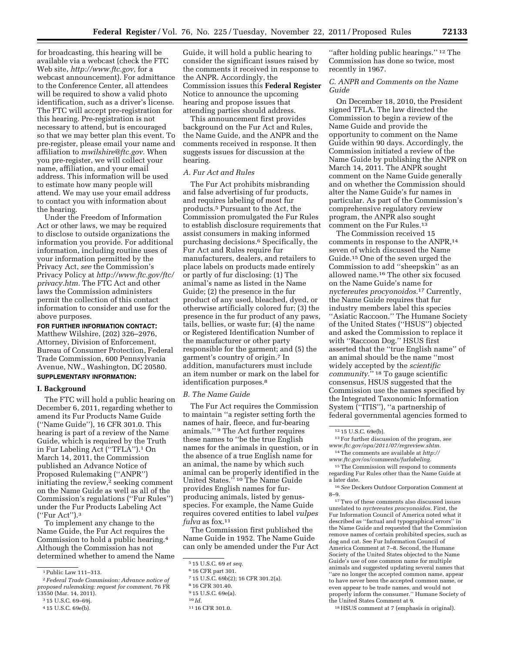for broadcasting, this hearing will be available via a webcast (check the FTC Web site, *[http://www.ftc.gov,](http://www.ftc.gov)* for a webcast announcement). For admittance to the Conference Center, all attendees will be required to show a valid photo identification, such as a driver's license. The FTC will accept pre-registration for this hearing. Pre-registration is not necessary to attend, but is encouraged so that we may better plan this event. To pre-register, please email your name and affiliation to *[mwilshire@ftc.gov.](mailto:mwilshire@ftc.gov)* When you pre-register, we will collect your name, affiliation, and your email address. This information will be used to estimate how many people will attend. We may use your email address to contact you with information about the hearing.

Under the Freedom of Information Act or other laws, we may be required to disclose to outside organizations the information you provide. For additional information, including routine uses of your information permitted by the Privacy Act, *see* the Commission's Privacy Policy at *[http://www.ftc.gov/ftc/](http://www.ftc.gov/ftc/privacy.htm) [privacy.htm.](http://www.ftc.gov/ftc/privacy.htm)* The FTC Act and other laws the Commission administers permit the collection of this contact information to consider and use for the above purposes.

**FOR FURTHER INFORMATION CONTACT:**  Matthew Wilshire, (202) 326–2976, Attorney, Division of Enforcement, Bureau of Consumer Protection, Federal Trade Commission, 600 Pennsylvania Avenue, NW., Washington, DC 20580. **SUPPLEMENTARY INFORMATION:** 

#### **I. Background**

The FTC will hold a public hearing on December 6, 2011, regarding whether to amend its Fur Products Name Guide (''Name Guide''), 16 CFR 301.0. This hearing is part of a review of the Name Guide, which is required by the Truth in Fur Labeling Act (''TFLA'').1 On March 14, 2011, the Commission published an Advance Notice of Proposed Rulemaking (''ANPR'') initiating the review, $\frac{1}{2}$  seeking comment on the Name Guide as well as all of the Commission's regulations (''Fur Rules'') under the Fur Products Labeling Act (''Fur Act'').3

To implement any change to the Name Guide, the Fur Act requires the Commission to hold a public hearing.4 Although the Commission has not determined whether to amend the Name

Guide, it will hold a public hearing to consider the significant issues raised by the comments it received in response to the ANPR. Accordingly, the Commission issues this **Federal Register**  Notice to announce the upcoming hearing and propose issues that attending parties should address.

This announcement first provides background on the Fur Act and Rules, the Name Guide, and the ANPR and the comments received in response. It then suggests issues for discussion at the hearing.

### *A. Fur Act and Rules*

The Fur Act prohibits misbranding and false advertising of fur products, and requires labeling of most fur products.5 Pursuant to the Act, the Commission promulgated the Fur Rules to establish disclosure requirements that assist consumers in making informed purchasing decisions.6 Specifically, the Fur Act and Rules require fur manufacturers, dealers, and retailers to place labels on products made entirely or partly of fur disclosing: (1) The animal's name as listed in the Name Guide; (2) the presence in the fur product of any used, bleached, dyed, or otherwise artificially colored fur; (3) the presence in the fur product of any paws, tails, bellies, or waste fur; (4) the name or Registered Identification Number of the manufacturer or other party responsible for the garment; and (5) the garment's country of origin.7 In addition, manufacturers must include an item number or mark on the label for identification purposes.<sup>8</sup>

#### *B. The Name Guide*

The Fur Act requires the Commission to maintain ''a register setting forth the names of hair, fleece, and fur-bearing animals.'' 9 The Act further requires these names to ''be the true English names for the animals in question, or in the absence of a true English name for an animal, the name by which such animal can be properly identified in the United States.'' 10 The Name Guide provides English names for furproducing animals, listed by genusspecies. For example, the Name Guide requires covered entities to label *vulpes fulva* as fox.11

The Commission first published the Name Guide in 1952. The Name Guide can only be amended under the Fur Act

"after holding public hearings."<sup>12</sup> The Commission has done so twice, most recently in 1967.

### *C. ANPR and Comments on the Name Guide*

On December 18, 2010, the President signed TFLA. The law directed the Commission to begin a review of the Name Guide and provide the opportunity to comment on the Name Guide within 90 days. Accordingly, the Commission initiated a review of the Name Guide by publishing the ANPR on March 14, 2011. The ANPR sought comment on the Name Guide generally and on whether the Commission should alter the Name Guide's fur names in particular. As part of the Commission's comprehensive regulatory review program, the ANPR also sought comment on the Fur Rules.13

The Commission received 15 comments in response to the ANPR,14 seven of which discussed the Name Guide.15 One of the seven urged the Commission to add ''sheepskin'' as an allowed name.16 The other six focused on the Name Guide's name for *nyctereutes procyonoidos.*17 Currently, the Name Guide requires that fur industry members label this species ''Asiatic Raccoon.'' The Humane Society of the United States (''HSUS'') objected and asked the Commission to replace it with ''Raccoon Dog.'' HSUS first asserted that the ''true English name'' of an animal should be the name ''most widely accepted by the *scientific community.*'' 18 To gauge scientific consensus, HSUS suggested that the Commission use the names specified by the Integrated Taxonomic Information System (''ITIS''), ''a partnership of federal governmental agencies formed to

13For further discussion of the program, *see [www.ftc.gov/opa/2011/07/regreview.shtm.](http://www.ftc.gov/opa/2011/07/regreview.shtm)* 

15The Commission will respond to comments regarding Fur Rules other than the Name Guide at a later date.

17Two of these comments also discussed issues unrelated to *nyctereutes procyonoidos.* First, the Fur Information Council of America noted what it described as ''factual and typographical errors'' in the Name Guide and requested that the Commission remove names of certain prohibited species, such as dog and cat. See Fur Information Council of America Comment at 7–8. Second, the Humane Society of the United States objected to the Name Guide's use of one common name for multiple animals and suggested updating several names that ''are no longer the accepted common name, appear to have never been the accepted common name, or even appear to be trade names, and would not properly inform the consumer.'' Humane Society of the United States Comment at 9.

18HSUS comment at 7 (emphasis in original).

<sup>1</sup>Public Law 111–313.

<sup>2</sup>*Federal Trade Commission: Advance notice of proposed rulemaking: request for comment,* 76 FR 13550 (Mar. 14, 2011).

<sup>3</sup> 15 U.S.C. 69–69j.

<sup>4</sup> 15 U.S.C. 69e(b).

<sup>5</sup> 15 U.S.C. 69 *et seq.* 

<sup>6</sup> 16 CFR part 301.

<sup>7</sup> 15 U.S.C. 69b(2); 16 CFR 301.2(a).

<sup>8</sup> 16 CFR 301.40.

<sup>9</sup> 15 U.S.C. 69e(a).

<sup>10</sup> *Id.* 

<sup>11</sup> 16 CFR 301.0.

<sup>12</sup> 15 U.S.C. 69e(b).

<sup>14</sup>The comments are available at *[http://](http://www.ftc.gov/os/comments/furlabeling) [www.ftc.gov/os/comments/furlabeling.](http://www.ftc.gov/os/comments/furlabeling)* 

<sup>16</sup>*See* Deckers Outdoor Corporation Comment at 8–9.